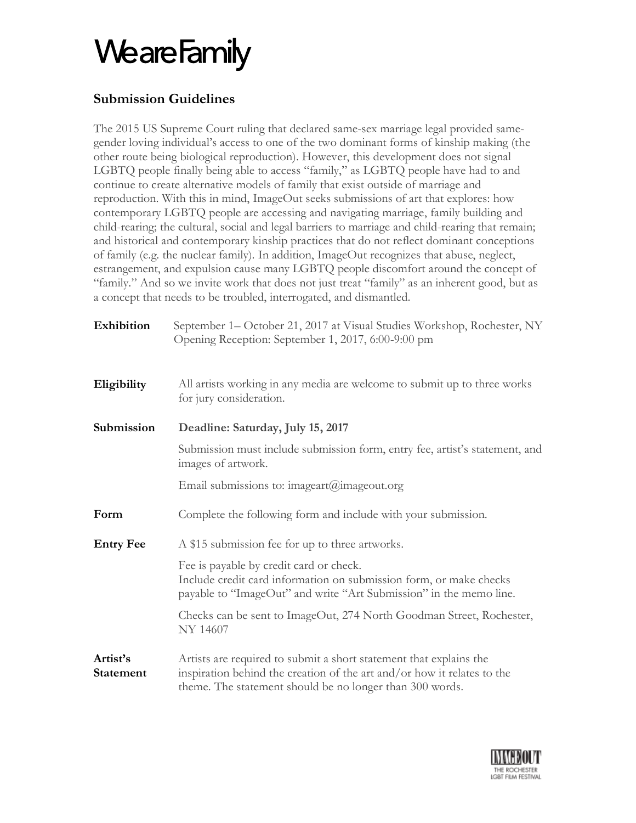### **Submission Guidelines**

The 2015 US Supreme Court ruling that declared same-sex marriage legal provided samegender loving individual's access to one of the two dominant forms of kinship making (the other route being biological reproduction). However, this development does not signal LGBTQ people finally being able to access "family," as LGBTQ people have had to and continue to create alternative models of family that exist outside of marriage and reproduction. With this in mind, ImageOut seeks submissions of art that explores: how contemporary LGBTQ people are accessing and navigating marriage, family building and child-rearing; the cultural, social and legal barriers to marriage and child-rearing that remain; and historical and contemporary kinship practices that do not reflect dominant conceptions of family (e.g. the nuclear family). In addition, ImageOut recognizes that abuse, neglect, estrangement, and expulsion cause many LGBTQ people discomfort around the concept of "family." And so we invite work that does not just treat "family" as an inherent good, but as a concept that needs to be troubled, interrogated, and dismantled.

| Exhibition                   | September 1– October 21, 2017 at Visual Studies Workshop, Rochester, NY<br>Opening Reception: September 1, 2017, 6:00-9:00 pm                                                                             |  |  |
|------------------------------|-----------------------------------------------------------------------------------------------------------------------------------------------------------------------------------------------------------|--|--|
| Eligibility                  | All artists working in any media are welcome to submit up to three works<br>for jury consideration.                                                                                                       |  |  |
| Submission                   | Deadline: Saturday, July 15, 2017                                                                                                                                                                         |  |  |
|                              | Submission must include submission form, entry fee, artist's statement, and<br>images of artwork.                                                                                                         |  |  |
|                              | Email submissions to: imageart@imageout.org                                                                                                                                                               |  |  |
| Form                         | Complete the following form and include with your submission.                                                                                                                                             |  |  |
| <b>Entry Fee</b>             | A \$15 submission fee for up to three artworks.                                                                                                                                                           |  |  |
|                              | Fee is payable by credit card or check.<br>Include credit card information on submission form, or make checks<br>payable to "ImageOut" and write "Art Submission" in the memo line.                       |  |  |
|                              | Checks can be sent to ImageOut, 274 North Goodman Street, Rochester,<br><b>NY 14607</b>                                                                                                                   |  |  |
| Artist's<br><b>Statement</b> | Artists are required to submit a short statement that explains the<br>inspiration behind the creation of the art and/or how it relates to the<br>theme. The statement should be no longer than 300 words. |  |  |

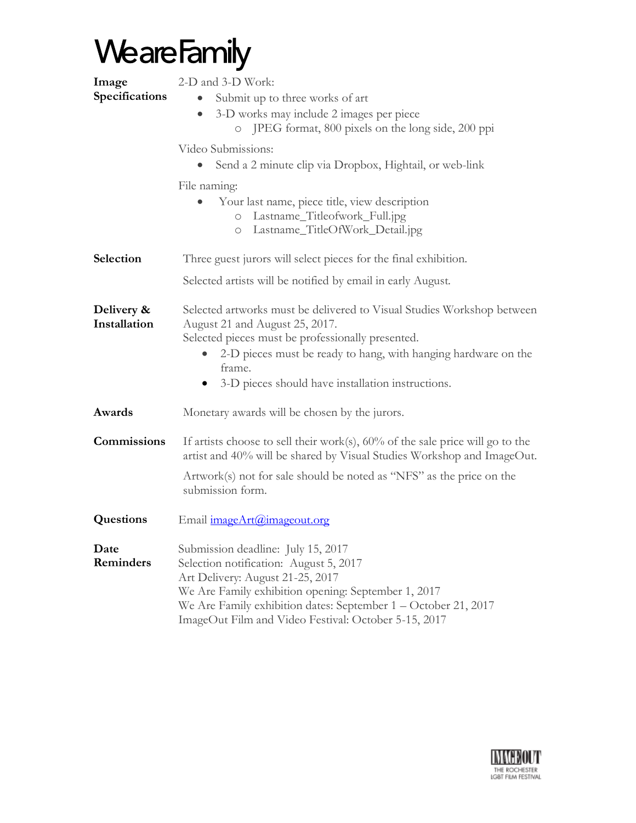| Image<br>Specifications    | 2-D and 3-D Work:<br>Submit up to three works of art<br>3-D works may include 2 images per piece<br>$\bullet$<br>o JPEG format, 800 pixels on the long side, 200 ppi<br>Video Submissions:<br>Send a 2 minute clip via Dropbox, Hightail, or web-link<br>File naming:<br>Your last name, piece title, view description<br>Lastname_Titleofwork_Full.jpg<br>$\bigcirc$<br>Lastname_TitleOfWork_Detail.jpg<br>$\circ$ |  |  |
|----------------------------|---------------------------------------------------------------------------------------------------------------------------------------------------------------------------------------------------------------------------------------------------------------------------------------------------------------------------------------------------------------------------------------------------------------------|--|--|
| Selection                  | Three guest jurors will select pieces for the final exhibition.                                                                                                                                                                                                                                                                                                                                                     |  |  |
|                            | Selected artists will be notified by email in early August.                                                                                                                                                                                                                                                                                                                                                         |  |  |
| Delivery &<br>Installation | Selected artworks must be delivered to Visual Studies Workshop between<br>August 21 and August 25, 2017.<br>Selected pieces must be professionally presented.<br>2-D pieces must be ready to hang, with hanging hardware on the<br>frame.<br>3-D pieces should have installation instructions.                                                                                                                      |  |  |
| Awards                     | Monetary awards will be chosen by the jurors.                                                                                                                                                                                                                                                                                                                                                                       |  |  |
| Commissions                | If artists choose to sell their work(s), $60\%$ of the sale price will go to the<br>artist and 40% will be shared by Visual Studies Workshop and ImageOut.<br>Artwork(s) not for sale should be noted as "NFS" as the price on the<br>submission form.                                                                                                                                                              |  |  |
| Questions                  | Email imageArt@imageout.org                                                                                                                                                                                                                                                                                                                                                                                         |  |  |
| Date<br>Reminders          | Submission deadline: July 15, 2017<br>Selection notification: August 5, 2017<br>Art Delivery: August 21-25, 2017<br>We Are Family exhibition opening: September 1, 2017<br>We Are Family exhibition dates: September 1 - October 21, 2017<br>ImageOut Film and Video Festival: October 5-15, 2017                                                                                                                   |  |  |

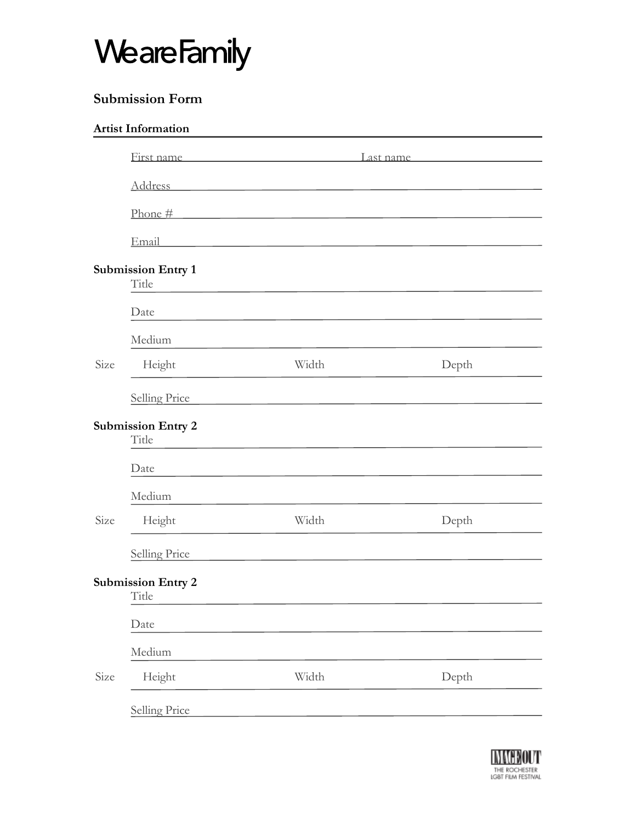### **Submission Form**

|      | <b>Artist Information</b>          |                                                                            |       |  |
|------|------------------------------------|----------------------------------------------------------------------------|-------|--|
|      |                                    | First name Last name Last name                                             |       |  |
|      |                                    | Address                                                                    |       |  |
|      |                                    | $\frac{\text{Phone #}}{\text{$                                             |       |  |
|      | Email                              | <u> 1989 - Johann Stein, mars an deus Amerikaansk kommunister (* 1958)</u> |       |  |
|      | <b>Submission Entry 1</b><br>Title |                                                                            |       |  |
|      | Date                               |                                                                            |       |  |
|      | Medium                             |                                                                            |       |  |
| Size | Height                             | Width                                                                      | Depth |  |
|      | Selling Price                      |                                                                            |       |  |
|      | <b>Submission Entry 2</b><br>Title |                                                                            |       |  |
|      | Date                               |                                                                            |       |  |
|      | Medium                             |                                                                            |       |  |
| Size | Height                             | Width                                                                      | Depth |  |
|      | Selling Price                      |                                                                            |       |  |
|      | <b>Submission Entry 2</b><br>Title |                                                                            |       |  |
|      | Date                               |                                                                            |       |  |
|      | Medium                             |                                                                            |       |  |
| Size | Height                             | Width                                                                      | Depth |  |
|      | <b>Selling Price</b>               |                                                                            |       |  |
|      |                                    |                                                                            |       |  |